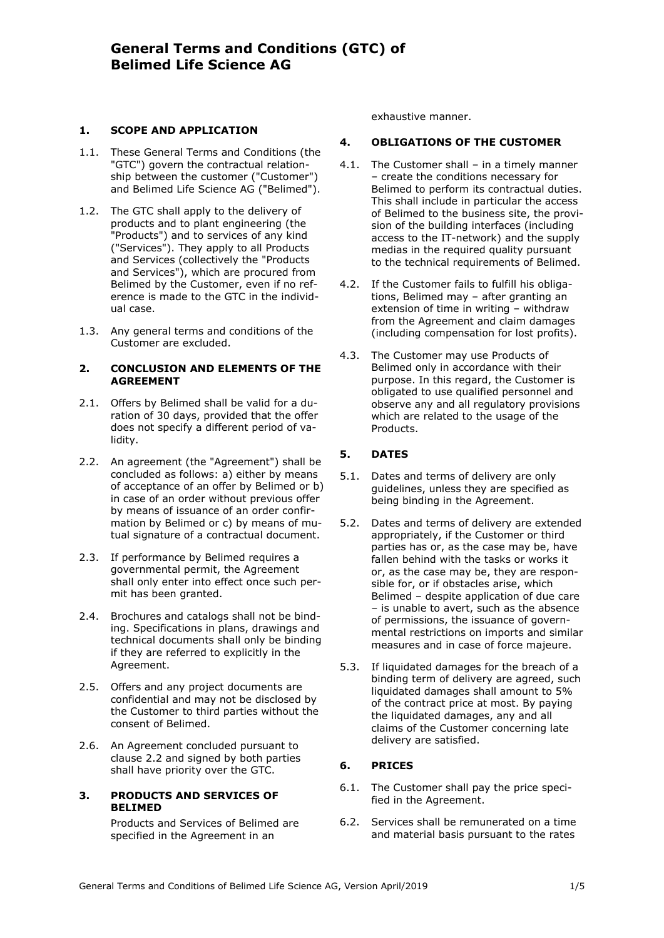# **1. SCOPE AND APPLICATION**

- 1.1. These General Terms and Conditions (the "GTC") govern the contractual relationship between the customer ("Customer") and Belimed Life Science AG ("Belimed").
- 1.2. The GTC shall apply to the delivery of products and to plant engineering (the "Products") and to services of any kind ("Services"). They apply to all Products and Services (collectively the "Products and Services"), which are procured from Belimed by the Customer, even if no reference is made to the GTC in the individual case.
- 1.3. Any general terms and conditions of the Customer are excluded.

#### **2. CONCLUSION AND ELEMENTS OF THE AGREEMENT**

- 2.1. Offers by Belimed shall be valid for a duration of 30 days, provided that the offer does not specify a different period of validity.
- <span id="page-0-0"></span>2.2. An agreement (the "Agreement") shall be concluded as follows: a) either by means of acceptance of an offer by Belimed or b) in case of an order without previous offer by means of issuance of an order confirmation by Belimed or c) by means of mutual signature of a contractual document.
- 2.3. If performance by Belimed requires a governmental permit, the Agreement shall only enter into effect once such permit has been granted.
- 2.4. Brochures and catalogs shall not be binding. Specifications in plans, drawings and technical documents shall only be binding if they are referred to explicitly in the Agreement.
- 2.5. Offers and any project documents are confidential and may not be disclosed by the Customer to third parties without the consent of Belimed.
- 2.6. An Agreement concluded pursuant to clause [2.2](#page-0-0) and signed by both parties shall have priority over the GTC.

#### **3. PRODUCTS AND SERVICES OF BELIMED**

Products and Services of Belimed are specified in the Agreement in an

exhaustive manner.

#### **4. OBLIGATIONS OF THE CUSTOMER**

- 4.1. The Customer shall in a timely manner – create the conditions necessary for Belimed to perform its contractual duties. This shall include in particular the access of Belimed to the business site, the provision of the building interfaces (including access to the IT-network) and the supply medias in the required quality pursuant to the technical requirements of Belimed.
- 4.2. If the Customer fails to fulfill his obligations, Belimed may – after granting an extension of time in writing – withdraw from the Agreement and claim damages (including compensation for lost profits).
- 4.3. The Customer may use Products of Belimed only in accordance with their purpose. In this regard, the Customer is obligated to use qualified personnel and observe any and all regulatory provisions which are related to the usage of the Products.

#### **5. DATES**

- 5.1. Dates and terms of delivery are only guidelines, unless they are specified as being binding in the Agreement.
- 5.2. Dates and terms of delivery are extended appropriately, if the Customer or third parties has or, as the case may be, have fallen behind with the tasks or works it or, as the case may be, they are responsible for, or if obstacles arise, which Belimed – despite application of due care – is unable to avert, such as the absence of permissions, the issuance of governmental restrictions on imports and similar measures and in case of force majeure.
- 5.3. If liquidated damages for the breach of a binding term of delivery are agreed, such liquidated damages shall amount to 5% of the contract price at most. By paying the liquidated damages, any and all claims of the Customer concerning late delivery are satisfied.

#### **6. PRICES**

- 6.1. The Customer shall pay the price specified in the Agreement.
- 6.2. Services shall be remunerated on a time and material basis pursuant to the rates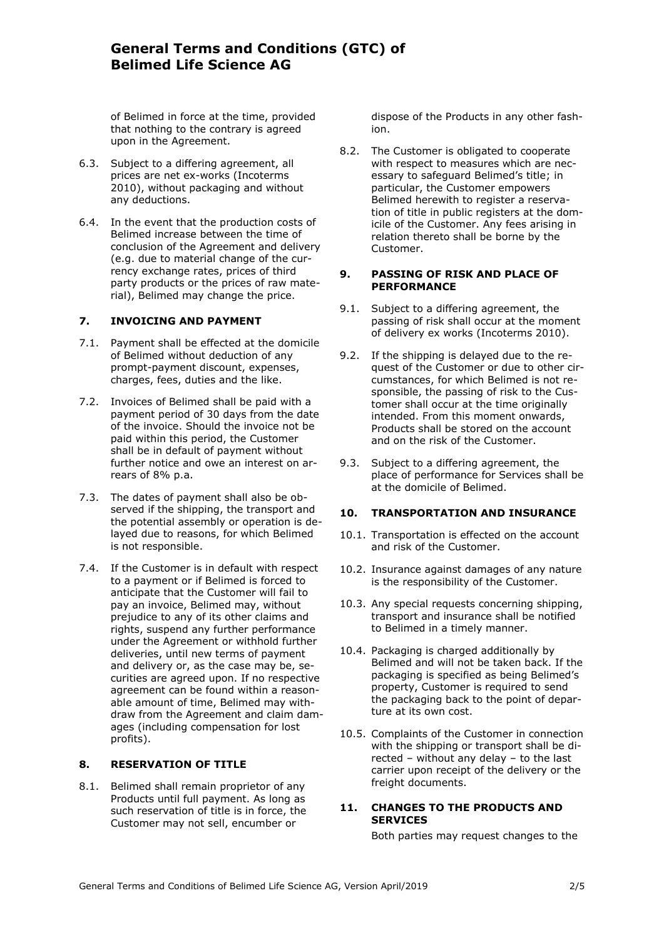of Belimed in force at the time, provided that nothing to the contrary is agreed upon in the Agreement.

- 6.3. Subject to a differing agreement, all prices are net ex-works (Incoterms 2010), without packaging and without any deductions.
- 6.4. In the event that the production costs of Belimed increase between the time of conclusion of the Agreement and delivery (e.g. due to material change of the currency exchange rates, prices of third party products or the prices of raw material), Belimed may change the price.

#### **7. INVOICING AND PAYMENT**

- 7.1. Payment shall be effected at the domicile of Belimed without deduction of any prompt-payment discount, expenses, charges, fees, duties and the like.
- 7.2. Invoices of Belimed shall be paid with a payment period of 30 days from the date of the invoice. Should the invoice not be paid within this period, the Customer shall be in default of payment without further notice and owe an interest on arrears of 8% p.a.
- 7.3. The dates of payment shall also be observed if the shipping, the transport and the potential assembly or operation is delayed due to reasons, for which Belimed is not responsible.
- 7.4. If the Customer is in default with respect to a payment or if Belimed is forced to anticipate that the Customer will fail to pay an invoice, Belimed may, without prejudice to any of its other claims and rights, suspend any further performance under the Agreement or withhold further deliveries, until new terms of payment and delivery or, as the case may be, securities are agreed upon. If no respective agreement can be found within a reasonable amount of time, Belimed may withdraw from the Agreement and claim damages (including compensation for lost profits).

# **8. RESERVATION OF TITLE**

8.1. Belimed shall remain proprietor of any Products until full payment. As long as such reservation of title is in force, the Customer may not sell, encumber or

dispose of the Products in any other fashion.

8.2. The Customer is obligated to cooperate with respect to measures which are necessary to safeguard Belimed's title; in particular, the Customer empowers Belimed herewith to register a reservation of title in public registers at the domicile of the Customer. Any fees arising in relation thereto shall be borne by the Customer.

#### **9. PASSING OF RISK AND PLACE OF PERFORMANCE**

- 9.1. Subject to a differing agreement, the passing of risk shall occur at the moment of delivery ex works (Incoterms 2010).
- 9.2. If the shipping is delayed due to the request of the Customer or due to other circumstances, for which Belimed is not responsible, the passing of risk to the Customer shall occur at the time originally intended. From this moment onwards, Products shall be stored on the account and on the risk of the Customer.
- 9.3. Subject to a differing agreement, the place of performance for Services shall be at the domicile of Belimed.

### **10. TRANSPORTATION AND INSURANCE**

- 10.1. Transportation is effected on the account and risk of the Customer.
- 10.2. Insurance against damages of any nature is the responsibility of the Customer.
- 10.3. Any special requests concerning shipping, transport and insurance shall be notified to Belimed in a timely manner.
- 10.4. Packaging is charged additionally by Belimed and will not be taken back. If the packaging is specified as being Belimed's property, Customer is required to send the packaging back to the point of departure at its own cost.
- 10.5. Complaints of the Customer in connection with the shipping or transport shall be directed – without any delay – to the last carrier upon receipt of the delivery or the freight documents.

# **11. CHANGES TO THE PRODUCTS AND SERVICES**

Both parties may request changes to the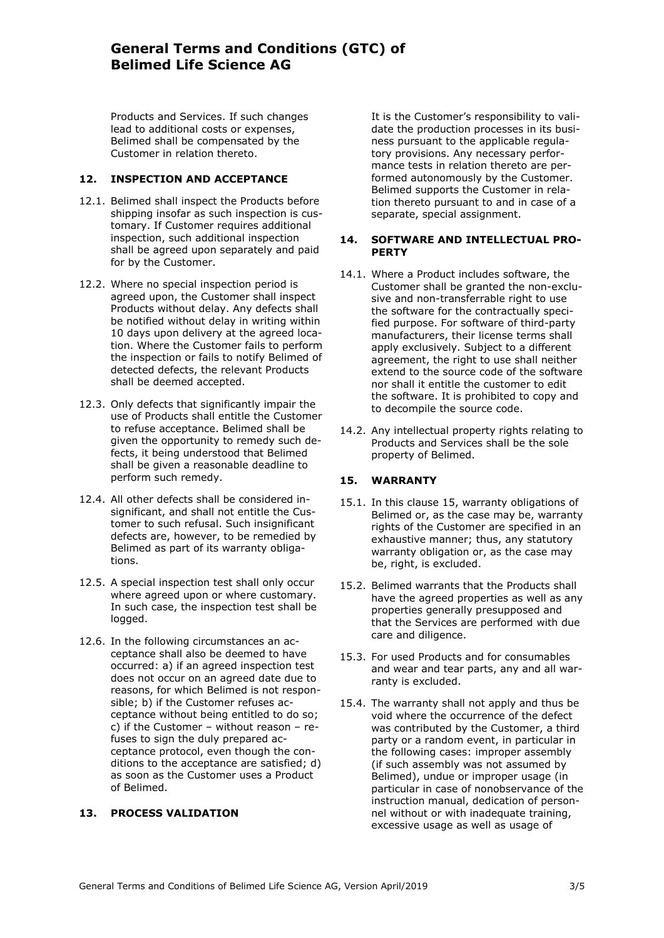Products and Services. If such changes lead to additional costs or expenses, Belimed shall be compensated by the Customer in relation thereto.

## **12. INSPECTION AND ACCEPTANCE**

- 12.1. Belimed shall inspect the Products before shipping insofar as such inspection is customary. If Customer requires additional inspection, such additional inspection shall be agreed upon separately and paid for by the Customer.
- 12.2. Where no special inspection period is agreed upon, the Customer shall inspect Products without delay. Any defects shall be notified without delay in writing within 10 days upon delivery at the agreed location. Where the Customer fails to perform the inspection or fails to notify Belimed of detected defects, the relevant Products shall be deemed accepted.
- 12.3. Only defects that significantly impair the use of Products shall entitle the Customer to refuse acceptance. Belimed shall be given the opportunity to remedy such defects, it being understood that Belimed shall be given a reasonable deadline to perform such remedy.
- 12.4. All other defects shall be considered insignificant, and shall not entitle the Customer to such refusal. Such insignificant defects are, however, to be remedied by Belimed as part of its warranty obligations.
- 12.5. A special inspection test shall only occur where agreed upon or where customary. In such case, the inspection test shall be logged.
- 12.6. In the following circumstances an acceptance shall also be deemed to have occurred: a) if an agreed inspection test does not occur on an agreed date due to reasons, for which Belimed is not responsible; b) if the Customer refuses acceptance without being entitled to do so; c) if the Customer – without reason – refuses to sign the duly prepared acceptance protocol, even though the conditions to the acceptance are satisfied; d) as soon as the Customer uses a Product of Belimed.

## **13. PROCESS VALIDATION**

It is the Customer's responsibility to validate the production processes in its business pursuant to the applicable regulatory provisions. Any necessary performance tests in relation thereto are performed autonomously by the Customer. Belimed supports the Customer in relation thereto pursuant to and in case of a separate, special assignment.

#### **14. SOFTWARE AND INTELLECTUAL PRO-PERTY**

- 14.1. Where a Product includes software, the Customer shall be granted the non-exclusive and non-transferrable right to use the software for the contractually specified purpose. For software of third-party manufacturers, their license terms shall apply exclusively. Subject to a different agreement, the right to use shall neither extend to the source code of the software nor shall it entitle the customer to edit the software. It is prohibited to copy and to decompile the source code.
- 14.2. Any intellectual property rights relating to Products and Services shall be the sole property of Belimed.

## **15. WARRANTY**

- 15.1. In this clause 15, warranty obligations of Belimed or, as the case may be, warranty rights of the Customer are specified in an exhaustive manner; thus, any statutory warranty obligation or, as the case may be, right, is excluded.
- 15.2. Belimed warrants that the Products shall have the agreed properties as well as any properties generally presupposed and that the Services are performed with due care and diligence.
- 15.3. For used Products and for consumables and wear and tear parts, any and all warranty is excluded.
- 15.4. The warranty shall not apply and thus be void where the occurrence of the defect was contributed by the Customer, a third party or a random event, in particular in the following cases: improper assembly (if such assembly was not assumed by Belimed), undue or improper usage (in particular in case of nonobservance of the instruction manual, dedication of personnel without or with inadequate training, excessive usage as well as usage of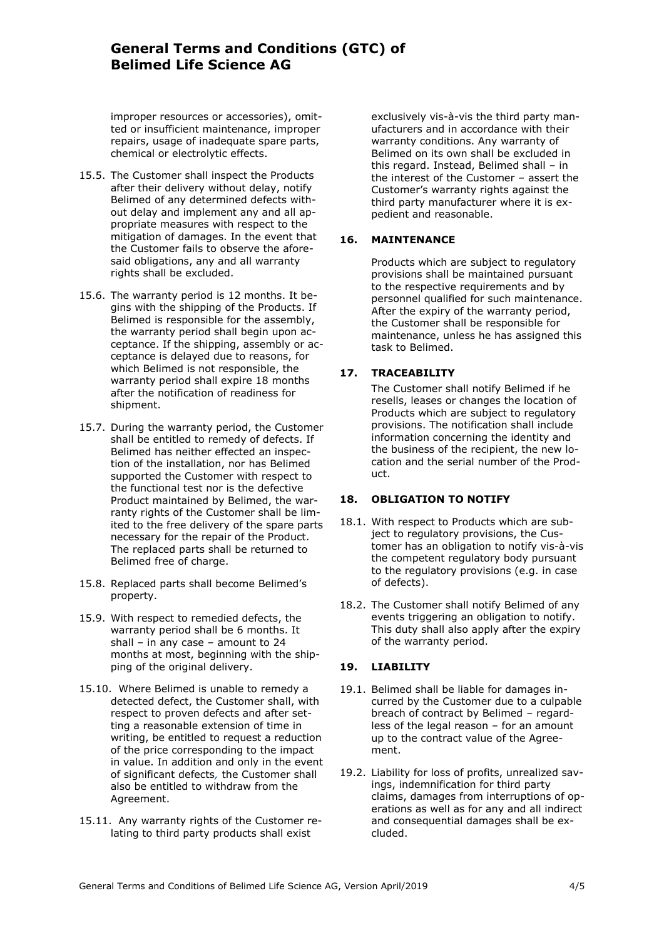improper resources or accessories), omitted or insufficient maintenance, improper repairs, usage of inadequate spare parts, chemical or electrolytic effects.

- 15.5. The Customer shall inspect the Products after their delivery without delay, notify Belimed of any determined defects without delay and implement any and all appropriate measures with respect to the mitigation of damages. In the event that the Customer fails to observe the aforesaid obligations, any and all warranty rights shall be excluded.
- 15.6. The warranty period is 12 months. It begins with the shipping of the Products. If Belimed is responsible for the assembly, the warranty period shall begin upon acceptance. If the shipping, assembly or acceptance is delayed due to reasons, for which Belimed is not responsible, the warranty period shall expire 18 months after the notification of readiness for shipment.
- 15.7. During the warranty period, the Customer shall be entitled to remedy of defects. If Belimed has neither effected an inspection of the installation, nor has Belimed supported the Customer with respect to the functional test nor is the defective Product maintained by Belimed, the warranty rights of the Customer shall be limited to the free delivery of the spare parts necessary for the repair of the Product. The replaced parts shall be returned to Belimed free of charge.
- 15.8. Replaced parts shall become Belimed's property.
- 15.9. With respect to remedied defects, the warranty period shall be 6 months. It shall – in any case – amount to  $24$ months at most, beginning with the shipping of the original delivery.
- 15.10. Where Belimed is unable to remedy a detected defect, the Customer shall, with respect to proven defects and after setting a reasonable extension of time in writing, be entitled to request a reduction of the price corresponding to the impact in value. In addition and only in the event of significant defects*,* the Customer shall also be entitled to withdraw from the Agreement.
- 15.11. Any warranty rights of the Customer relating to third party products shall exist

exclusively vis-à-vis the third party manufacturers and in accordance with their warranty conditions. Any warranty of Belimed on its own shall be excluded in this regard. Instead, Belimed shall – in the interest of the Customer – assert the Customer's warranty rights against the third party manufacturer where it is expedient and reasonable.

# **16. MAINTENANCE**

Products which are subject to regulatory provisions shall be maintained pursuant to the respective requirements and by personnel qualified for such maintenance. After the expiry of the warranty period, the Customer shall be responsible for maintenance, unless he has assigned this task to Belimed.

## **17. TRACEABILITY**

The Customer shall notify Belimed if he resells, leases or changes the location of Products which are subject to regulatory provisions. The notification shall include information concerning the identity and the business of the recipient, the new location and the serial number of the Product.

## **18. OBLIGATION TO NOTIFY**

- 18.1. With respect to Products which are subject to regulatory provisions, the Customer has an obligation to notify vis-à-vis the competent regulatory body pursuant to the regulatory provisions (e.g. in case of defects).
- 18.2. The Customer shall notify Belimed of any events triggering an obligation to notify. This duty shall also apply after the expiry of the warranty period.

## **19. LIABILITY**

- 19.1. Belimed shall be liable for damages incurred by the Customer due to a culpable breach of contract by Belimed – regardless of the legal reason – for an amount up to the contract value of the Agreement.
- 19.2. Liability for loss of profits, unrealized savings, indemnification for third party claims, damages from interruptions of operations as well as for any and all indirect and consequential damages shall be excluded.